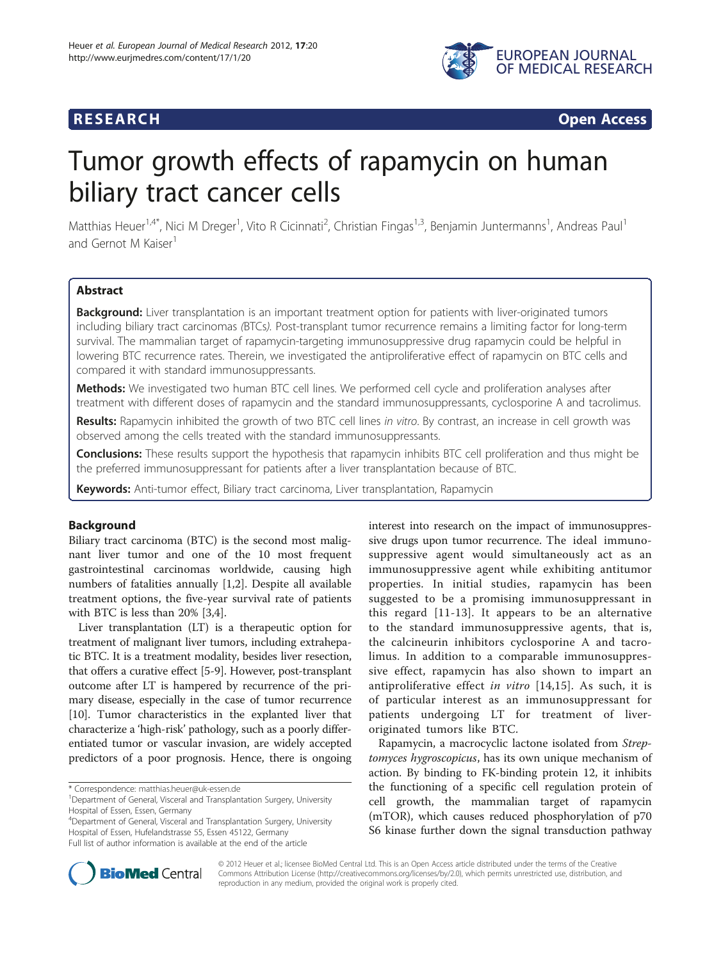

# **RESEARCH RESEARCH CONSUMING ACCESS**

# Tumor growth effects of rapamycin on human biliary tract cancer cells

Matthias Heuer<sup>1,4\*</sup>, Nici M Dreger<sup>1</sup>, Vito R Cicinnati<sup>2</sup>, Christian Fingas<sup>1,3</sup>, Benjamin Juntermanns<sup>1</sup>, Andreas Paul<sup>1</sup> and Gernot M Kaiser<sup>1</sup>

# Abstract

Background: Liver transplantation is an important treatment option for patients with liver-originated tumors including biliary tract carcinomas (BTCs). Post-transplant tumor recurrence remains a limiting factor for long-term survival. The mammalian target of rapamycin-targeting immunosuppressive drug rapamycin could be helpful in lowering BTC recurrence rates. Therein, we investigated the antiproliferative effect of rapamycin on BTC cells and compared it with standard immunosuppressants.

Methods: We investigated two human BTC cell lines. We performed cell cycle and proliferation analyses after treatment with different doses of rapamycin and the standard immunosuppressants, cyclosporine A and tacrolimus.

Results: Rapamycin inhibited the growth of two BTC cell lines in vitro. By contrast, an increase in cell growth was observed among the cells treated with the standard immunosuppressants.

**Conclusions:** These results support the hypothesis that rapamycin inhibits BTC cell proliferation and thus might be the preferred immunosuppressant for patients after a liver transplantation because of BTC.

Keywords: Anti-tumor effect, Biliary tract carcinoma, Liver transplantation, Rapamycin

# Background

Biliary tract carcinoma (BTC) is the second most malignant liver tumor and one of the 10 most frequent gastrointestinal carcinomas worldwide, causing high numbers of fatalities annually [\[1,2\]](#page-4-0). Despite all available treatment options, the five-year survival rate of patients with BTC is less than 20% [\[3,4](#page-4-0)].

Liver transplantation (LT) is a therapeutic option for treatment of malignant liver tumors, including extrahepatic BTC. It is a treatment modality, besides liver resection, that offers a curative effect [[5](#page-4-0)[-9](#page-5-0)]. However, post-transplant outcome after LT is hampered by recurrence of the primary disease, especially in the case of tumor recurrence [[10](#page-5-0)]. Tumor characteristics in the explanted liver that characterize a 'high-risk' pathology, such as a poorly differentiated tumor or vascular invasion, are widely accepted predictors of a poor prognosis. Hence, there is ongoing

4 Department of General, Visceral and Transplantation Surgery, University Hospital of Essen, Hufelandstrasse 55, Essen 45122, Germany Full list of author information is available at the end of the article

interest into research on the impact of immunosuppressive drugs upon tumor recurrence. The ideal immunosuppressive agent would simultaneously act as an immunosuppressive agent while exhibiting antitumor properties. In initial studies, rapamycin has been suggested to be a promising immunosuppressant in this regard [[11](#page-5-0)-[13](#page-5-0)]. It appears to be an alternative to the standard immunosuppressive agents, that is, the calcineurin inhibitors cyclosporine A and tacrolimus. In addition to a comparable immunosuppressive effect, rapamycin has also shown to impart an antiproliferative effect in vitro [[14,15\]](#page-5-0). As such, it is of particular interest as an immunosuppressant for patients undergoing LT for treatment of liveroriginated tumors like BTC.

Rapamycin, a macrocyclic lactone isolated from Streptomyces hygroscopicus, has its own unique mechanism of action. By binding to FK-binding protein 12, it inhibits the functioning of a specific cell regulation protein of cell growth, the mammalian target of rapamycin (mTOR), which causes reduced phosphorylation of p70 S6 kinase further down the signal transduction pathway



© 2012 Heuer et al.; licensee BioMed Central Ltd. This is an Open Access article distributed under the terms of the Creative Commons Attribution License [\(http://creativecommons.org/licenses/by/2.0\)](http://creativecommons.org/licenses/by/2.0), which permits unrestricted use, distribution, and reproduction in any medium, provided the original work is properly cited.

<sup>\*</sup> Correspondence: [matthias.heuer@uk-essen.de](mailto:matthias.heuer@uk-ssen.de) <sup>1</sup>

<sup>&</sup>lt;sup>1</sup>Department of General, Visceral and Transplantation Surgery, University Hospital of Essen, Essen, Germany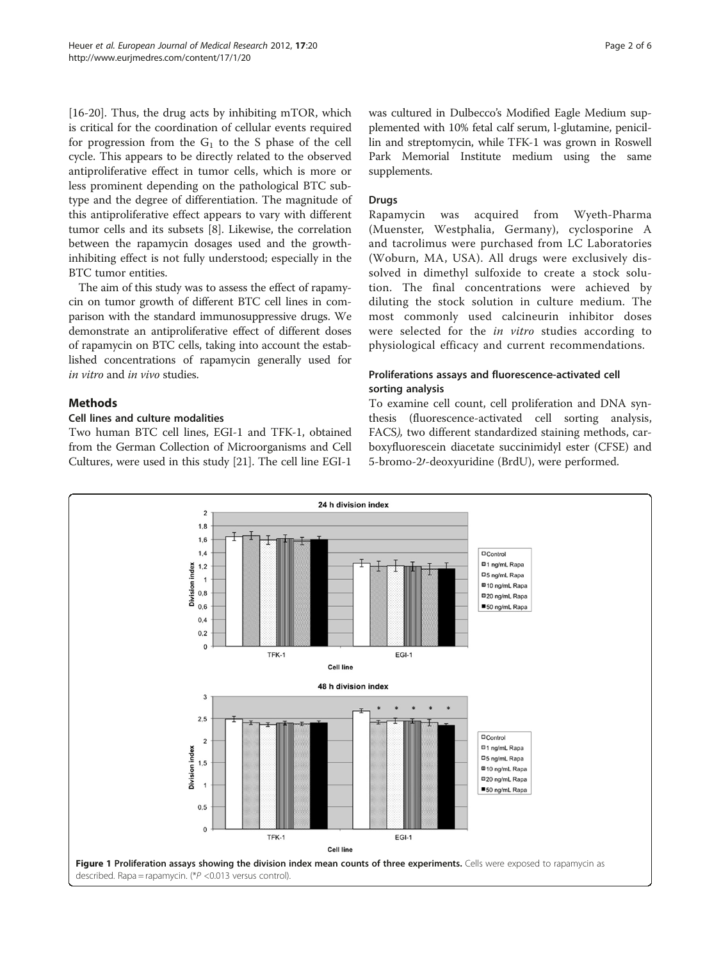<span id="page-1-0"></span>[[16-20](#page-5-0)]. Thus, the drug acts by inhibiting mTOR, which is critical for the coordination of cellular events required for progression from the  $G_1$  to the S phase of the cell cycle. This appears to be directly related to the observed antiproliferative effect in tumor cells, which is more or less prominent depending on the pathological BTC subtype and the degree of differentiation. The magnitude of this antiproliferative effect appears to vary with different tumor cells and its subsets [[8\]](#page-5-0). Likewise, the correlation between the rapamycin dosages used and the growthinhibiting effect is not fully understood; especially in the BTC tumor entities.

The aim of this study was to assess the effect of rapamycin on tumor growth of different BTC cell lines in comparison with the standard immunosuppressive drugs. We demonstrate an antiproliferative effect of different doses of rapamycin on BTC cells, taking into account the established concentrations of rapamycin generally used for in vitro and in vivo studies.

# Methods

# Cell lines and culture modalities

Two human BTC cell lines, EGI-1 and TFK-1, obtained from the German Collection of Microorganisms and Cell Cultures, were used in this study [\[21](#page-5-0)]. The cell line EGI-1

was cultured in Dulbecco's Modified Eagle Medium supplemented with 10% fetal calf serum, l-glutamine, penicillin and streptomycin, while TFK-1 was grown in Roswell Park Memorial Institute medium using the same supplements.

#### Drugs

Rapamycin was acquired from Wyeth-Pharma (Muenster, Westphalia, Germany), cyclosporine A and tacrolimus were purchased from LC Laboratories (Woburn, MA, USA). All drugs were exclusively dissolved in dimethyl sulfoxide to create a stock solution. The final concentrations were achieved by diluting the stock solution in culture medium. The most commonly used calcineurin inhibitor doses were selected for the *in vitro* studies according to physiological efficacy and current recommendations.

# Proliferations assays and fluorescence-activated cell sorting analysis

To examine cell count, cell proliferation and DNA synthesis (fluorescence-activated cell sorting analysis, FACS), two different standardized staining methods, carboxyfluorescein diacetate succinimidyl ester (CFSE) and 5-bromo-2/-deoxyuridine (BrdU), were performed.

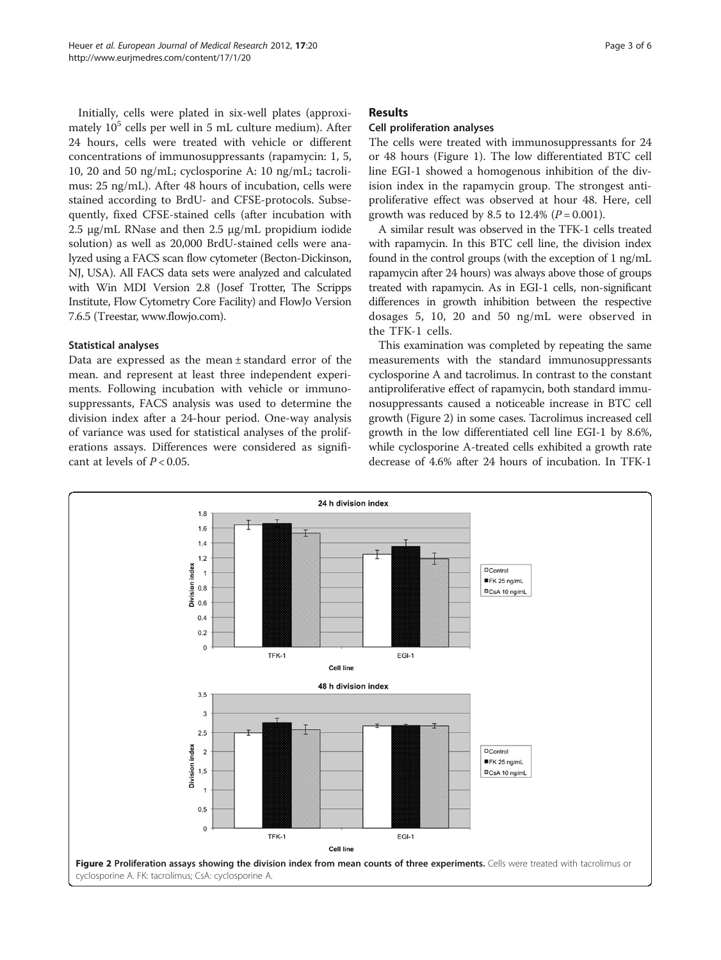Initially, cells were plated in six-well plates (approximately  $10^5$  cells per well in 5 mL culture medium). After 24 hours, cells were treated with vehicle or different concentrations of immunosuppressants (rapamycin: 1, 5, 10, 20 and 50 ng/mL; cyclosporine A: 10 ng/mL; tacrolimus: 25 ng/mL). After 48 hours of incubation, cells were stained according to BrdU- and CFSE-protocols. Subsequently, fixed CFSE-stained cells (after incubation with 2.5 μg/mL RNase and then 2.5 μg/mL propidium iodide solution) as well as 20,000 BrdU-stained cells were analyzed using a FACS scan flow cytometer (Becton-Dickinson, NJ, USA). All FACS data sets were analyzed and calculated with Win MDI Version 2.8 (Josef Trotter, The Scripps Institute, Flow Cytometry Core Facility) and FlowJo Version 7.6.5 (Treestar, [www.flowjo.com\)](http://www.flowjo.com).

# Statistical analyses

Data are expressed as the mean ± standard error of the mean. and represent at least three independent experiments. Following incubation with vehicle or immunosuppressants, FACS analysis was used to determine the division index after a 24-hour period. One-way analysis of variance was used for statistical analyses of the proliferations assays. Differences were considered as significant at levels of  $P < 0.05$ .

#### Results

# Cell proliferation analyses

The cells were treated with immunosuppressants for 24 or 48 hours (Figure [1](#page-1-0)). The low differentiated BTC cell line EGI-1 showed a homogenous inhibition of the division index in the rapamycin group. The strongest antiproliferative effect was observed at hour 48. Here, cell growth was reduced by 8.5 to 12.4% ( $P = 0.001$ ).

A similar result was observed in the TFK-1 cells treated with rapamycin. In this BTC cell line, the division index found in the control groups (with the exception of 1 ng/mL rapamycin after 24 hours) was always above those of groups treated with rapamycin. As in EGI-1 cells, non-significant differences in growth inhibition between the respective dosages 5, 10, 20 and 50 ng/mL were observed in the TFK-1 cells.

This examination was completed by repeating the same measurements with the standard immunosuppressants cyclosporine A and tacrolimus. In contrast to the constant antiproliferative effect of rapamycin, both standard immunosuppressants caused a noticeable increase in BTC cell growth (Figure 2) in some cases. Tacrolimus increased cell growth in the low differentiated cell line EGI-1 by 8.6%, while cyclosporine A-treated cells exhibited a growth rate decrease of 4.6% after 24 hours of incubation. In TFK-1

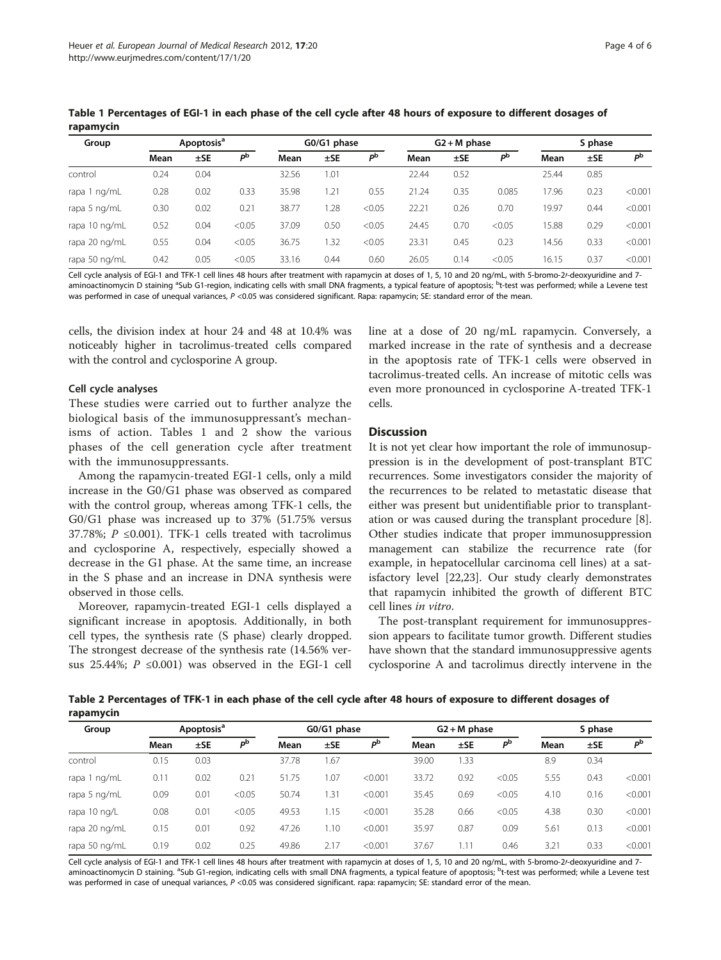| Group         | Apoptosis <sup>a</sup> |        |                | G0/G1 phase |        |             | $G2 + M$ phase |        |             | S phase |        |         |
|---------------|------------------------|--------|----------------|-------------|--------|-------------|----------------|--------|-------------|---------|--------|---------|
|               | Mean                   | $±$ SE | P <sup>b</sup> | Mean        | $±$ SE | $P^{\rm b}$ | Mean           | $±$ SE | $P^{\rm b}$ | Mean    | $±$ SE | ъb      |
| control       | 0.24                   | 0.04   |                | 32.56       | 1.01   |             | 22.44          | 0.52   |             | 25.44   | 0.85   |         |
| rapa 1 ng/mL  | 0.28                   | 0.02   | 0.33           | 35.98       | .21    | 0.55        | 21.24          | 0.35   | 0.085       | 17.96   | 0.23   | < 0.001 |
| rapa 5 ng/mL  | 0.30                   | 0.02   | 0.21           | 38.77       | .28    | < 0.05      | 22.21          | 0.26   | 0.70        | 19.97   | 0.44   | < 0.001 |
| rapa 10 ng/mL | 0.52                   | 0.04   | < 0.05         | 37.09       | 0.50   | < 0.05      | 24.45          | 0.70   | < 0.05      | 15.88   | 0.29   | < 0.001 |
| rapa 20 ng/mL | 0.55                   | 0.04   | < 0.05         | 36.75       | .32    | < 0.05      | 23.31          | 0.45   | 0.23        | 14.56   | 0.33   | < 0.001 |
| rapa 50 ng/mL | 0.42                   | 0.05   | < 0.05         | 33.16       | 0.44   | 0.60        | 26.05          | 0.14   | < 0.05      | 16.15   | 0.37   | < 0.001 |

Table 1 Percentages of EGI-1 in each phase of the cell cycle after 48 hours of exposure to different dosages of rapamycin

Cell cycle analysis of EGI-1 and TFK-1 cell lines 48 hours after treatment with rapamycin at doses of 1, 5, 10 and 20 ng/mL, with 5-bromo-20-deoxyuridine and 7 aminoactinomycin D staining <sup>a</sup>Sub G1-region, indicating cells with small DNA fragments, a typical feature of apoptosis; <sup>b</sup>t-test was performed; while a Levene test was performed in case of unequal variances, P <0.05 was considered significant. Rapa: rapamycin; SE: standard error of the mean.

cells, the division index at hour 24 and 48 at 10.4% was noticeably higher in tacrolimus-treated cells compared with the control and cyclosporine A group.

#### Cell cycle analyses

These studies were carried out to further analyze the biological basis of the immunosuppressant's mechanisms of action. Tables 1 and 2 show the various phases of the cell generation cycle after treatment with the immunosuppressants.

Among the rapamycin-treated EGI-1 cells, only a mild increase in the G0/G1 phase was observed as compared with the control group, whereas among TFK-1 cells, the G0/G1 phase was increased up to 37% (51.75% versus 37.78%;  $P \le 0.001$ ). TFK-1 cells treated with tacrolimus and cyclosporine A, respectively, especially showed a decrease in the G1 phase. At the same time, an increase in the S phase and an increase in DNA synthesis were observed in those cells.

Moreover, rapamycin-treated EGI-1 cells displayed a significant increase in apoptosis. Additionally, in both cell types, the synthesis rate (S phase) clearly dropped. The strongest decrease of the synthesis rate (14.56% versus 25.44%;  $P \le 0.001$ ) was observed in the EGI-1 cell line at a dose of 20 ng/mL rapamycin. Conversely, a marked increase in the rate of synthesis and a decrease in the apoptosis rate of TFK-1 cells were observed in tacrolimus-treated cells. An increase of mitotic cells was even more pronounced in cyclosporine A-treated TFK-1 cells.

#### **Discussion**

It is not yet clear how important the role of immunosuppression is in the development of post-transplant BTC recurrences. Some investigators consider the majority of the recurrences to be related to metastatic disease that either was present but unidentifiable prior to transplantation or was caused during the transplant procedure [\[8](#page-5-0)]. Other studies indicate that proper immunosuppression management can stabilize the recurrence rate (for example, in hepatocellular carcinoma cell lines) at a satisfactory level [\[22,23\]](#page-5-0). Our study clearly demonstrates that rapamycin inhibited the growth of different BTC cell lines in vitro.

The post-transplant requirement for immunosuppression appears to facilitate tumor growth. Different studies have shown that the standard immunosuppressive agents cyclosporine A and tacrolimus directly intervene in the

Table 2 Percentages of TFK-1 in each phase of the cell cycle after 48 hours of exposure to different dosages of rapamycin

| Group         | Apoptosis <sup>a</sup> |        |                | G0/G1 phase |        |                | $G2 + M$ phase |        |        | S phase |        |         |
|---------------|------------------------|--------|----------------|-------------|--------|----------------|----------------|--------|--------|---------|--------|---------|
|               | Mean                   | $±$ SE | Р <sup>b</sup> | Mean        | $±$ SE | Р <sup>b</sup> | Mean           | $±$ SE | рb     | Mean    | $±$ SE | рb      |
| control       | 0.15                   | 0.03   |                | 37.78       | 1.67   |                | 39.00          | 1.33   |        | 8.9     | 0.34   |         |
| rapa 1 ng/mL  | 0.11                   | 0.02   | 0.21           | 51.75       | 1.07   | < 0.001        | 33.72          | 0.92   | < 0.05 | 5.55    | 0.43   | < 0.001 |
| rapa 5 ng/mL  | 0.09                   | 0.01   | < 0.05         | 50.74       | 1.31   | < 0.001        | 35.45          | 0.69   | < 0.05 | 4.10    | 0.16   | < 0.001 |
| rapa 10 ng/L  | 0.08                   | 0.01   | < 0.05         | 49.53       | 1.15   | < 0.001        | 35.28          | 0.66   | < 0.05 | 4.38    | 0.30   | < 0.001 |
| rapa 20 ng/mL | 0.15                   | 0.01   | 0.92           | 47.26       | 1.10   | < 0.001        | 35.97          | 0.87   | 0.09   | 5.61    | 0.13   | < 0.001 |
| rapa 50 ng/mL | 0.19                   | 0.02   | 0.25           | 49.86       | 2.17   | < 0.001        | 37.67          | 6.11   | 0.46   | 3.21    | 0.33   | < 0.001 |

Cell cycle analysis of EGI-1 and TFK-1 cell lines 48 hours after treatment with rapamycin at doses of 1, 5, 10 and 20 ng/mL, with 5-bromo-2/-deoxyuridine and 7aminoactinomycin D staining. <sup>a</sup>Sub G1-region, indicating cells with small DNA fragments, a typical feature of apoptosis; <sup>b</sup>t-test was performed; while a Levene test was performed in case of unequal variances, P <0.05 was considered significant. rapa: rapamycin; SE: standard error of the mean.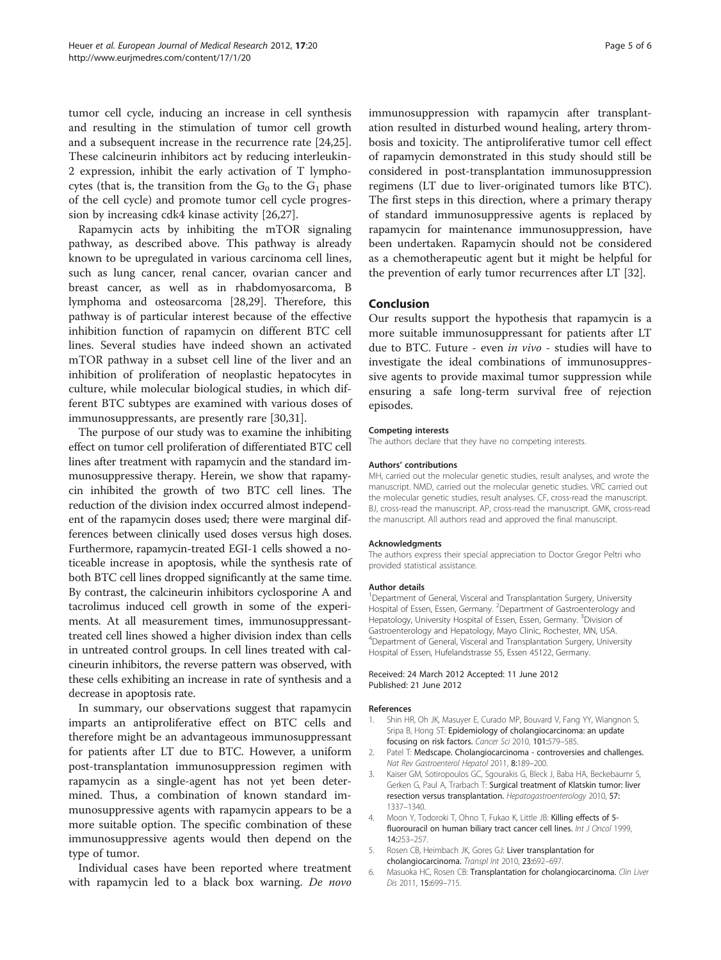<span id="page-4-0"></span>tumor cell cycle, inducing an increase in cell synthesis and resulting in the stimulation of tumor cell growth and a subsequent increase in the recurrence rate [\[24,25](#page-5-0)]. These calcineurin inhibitors act by reducing interleukin-2 expression, inhibit the early activation of T lymphocytes (that is, the transition from the  $G_0$  to the  $G_1$  phase of the cell cycle) and promote tumor cell cycle progression by increasing cdk4 kinase activity [\[26,27](#page-5-0)].

Rapamycin acts by inhibiting the mTOR signaling pathway, as described above. This pathway is already known to be upregulated in various carcinoma cell lines, such as lung cancer, renal cancer, ovarian cancer and breast cancer, as well as in rhabdomyosarcoma, B lymphoma and osteosarcoma [\[28,29\]](#page-5-0). Therefore, this pathway is of particular interest because of the effective inhibition function of rapamycin on different BTC cell lines. Several studies have indeed shown an activated mTOR pathway in a subset cell line of the liver and an inhibition of proliferation of neoplastic hepatocytes in culture, while molecular biological studies, in which different BTC subtypes are examined with various doses of immunosuppressants, are presently rare [\[30,31](#page-5-0)].

The purpose of our study was to examine the inhibiting effect on tumor cell proliferation of differentiated BTC cell lines after treatment with rapamycin and the standard immunosuppressive therapy. Herein, we show that rapamycin inhibited the growth of two BTC cell lines. The reduction of the division index occurred almost independent of the rapamycin doses used; there were marginal differences between clinically used doses versus high doses. Furthermore, rapamycin-treated EGI-1 cells showed a noticeable increase in apoptosis, while the synthesis rate of both BTC cell lines dropped significantly at the same time. By contrast, the calcineurin inhibitors cyclosporine A and tacrolimus induced cell growth in some of the experiments. At all measurement times, immunosuppressanttreated cell lines showed a higher division index than cells in untreated control groups. In cell lines treated with calcineurin inhibitors, the reverse pattern was observed, with these cells exhibiting an increase in rate of synthesis and a decrease in apoptosis rate.

In summary, our observations suggest that rapamycin imparts an antiproliferative effect on BTC cells and therefore might be an advantageous immunosuppressant for patients after LT due to BTC. However, a uniform post-transplantation immunosuppression regimen with rapamycin as a single-agent has not yet been determined. Thus, a combination of known standard immunosuppressive agents with rapamycin appears to be a more suitable option. The specific combination of these immunosuppressive agents would then depend on the type of tumor.

Individual cases have been reported where treatment with rapamycin led to a black box warning. De novo immunosuppression with rapamycin after transplantation resulted in disturbed wound healing, artery thrombosis and toxicity. The antiproliferative tumor cell effect of rapamycin demonstrated in this study should still be considered in post-transplantation immunosuppression regimens (LT due to liver-originated tumors like BTC). The first steps in this direction, where a primary therapy of standard immunosuppressive agents is replaced by rapamycin for maintenance immunosuppression, have been undertaken. Rapamycin should not be considered as a chemotherapeutic agent but it might be helpful for the prevention of early tumor recurrences after LT [[32](#page-5-0)].

#### Conclusion

Our results support the hypothesis that rapamycin is a more suitable immunosuppressant for patients after LT due to BTC. Future - even in vivo - studies will have to investigate the ideal combinations of immunosuppressive agents to provide maximal tumor suppression while ensuring a safe long-term survival free of rejection episodes.

#### Competing interests

The authors declare that they have no competing interests.

#### Authors' contributions

MH, carried out the molecular genetic studies, result analyses, and wrote the manuscript. NMD, carried out the molecular genetic studies. VRC carried out the molecular genetic studies, result analyses. CF, cross-read the manuscript. BJ, cross-read the manuscript. AP, cross-read the manuscript. GMK, cross-read the manuscript. All authors read and approved the final manuscript.

#### Acknowledgments

The authors express their special appreciation to Doctor Gregor Peltri who provided statistical assistance.

#### Author details

<sup>1</sup>Department of General, Visceral and Transplantation Surgery, University Hospital of Essen, Essen, Germany. <sup>2</sup>Department of Gastroenterology and Hepatology, University Hospital of Essen, Essen, Germany. <sup>3</sup>Division of Gastroenterology and Hepatology, Mayo Clinic, Rochester, MN, USA. 4 Department of General, Visceral and Transplantation Surgery, University Hospital of Essen, Hufelandstrasse 55, Essen 45122, Germany.

#### Received: 24 March 2012 Accepted: 11 June 2012 Published: 21 June 2012

#### References

- 1. Shin HR, Oh JK, Masuyer E, Curado MP, Bouvard V, Fang YY, Wiangnon S, Sripa B, Hong ST: Epidemiology of cholangiocarcinoma: an update focusing on risk factors. Cancer Sci 2010, 101:579–585.
- 2. Patel T: Medscape. Cholangiocarcinoma controversies and challenges. Nat Rev Gastroenterol Hepatol 2011, 8:189–200.
- 3. Kaiser GM, Sotiropoulos GC, Sgourakis G, Bleck J, Baba HA, Beckebaumr S, Gerken G, Paul A, Trarbach T: Surgical treatment of Klatskin tumor: liver resection versus transplantation. Hepatogastroenterology 2010, 57: 1337–1340.
- 4. Moon Y, Todoroki T, Ohno T, Fukao K, Little JB: Killing effects of 5fluorouracil on human biliary tract cancer cell lines. Int J Oncol 1999, 14:253–257.
- Rosen CB, Heimbach JK, Gores GJ: Liver transplantation for cholangiocarcinoma. Transpl Int 2010, 23:692–697.
- 6. Masuoka HC, Rosen CB: Transplantation for cholangiocarcinoma. Clin Liver Dis 2011, 15:699–715.